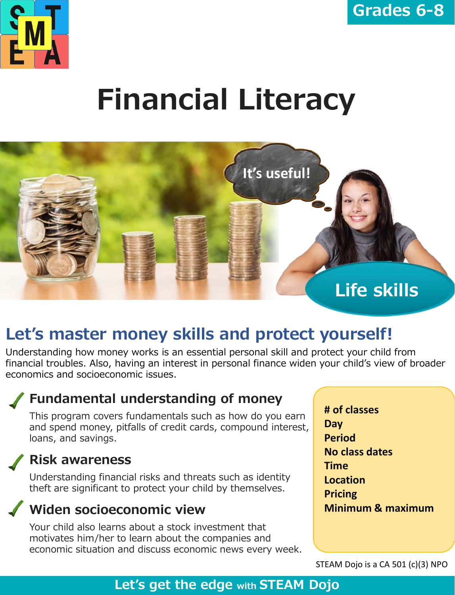

# **Financial Literacy**



# **Let's master money skills and protect yourself!**

Understanding how money works is an essential personal skill and protect your child from financial troubles. Also, having an interest in personal finance widen your child's view of broader economics and socioeconomic issues.

# **Fundamental understanding of money**

This program covers fundamentals such as how do you earn and spend money, pitfalls of credit cards, compound interest, loans, and savings.

#### **Risk awareness**

Understanding financial risks and threats such as identity theft are significant to protect your child by themselves.

# **Widen socioeconomic view**

Your child also learns about a stock investment that motivates him/her to learn about the companies and economic situation and discuss economic news every week. **# of classes Day Period No class dates Time Location Pricing Minimum & maximum** 

STEAM Dojo is a CA 501 (c)(3) NPO

### **Let's get the edge with STEAM Dojo**